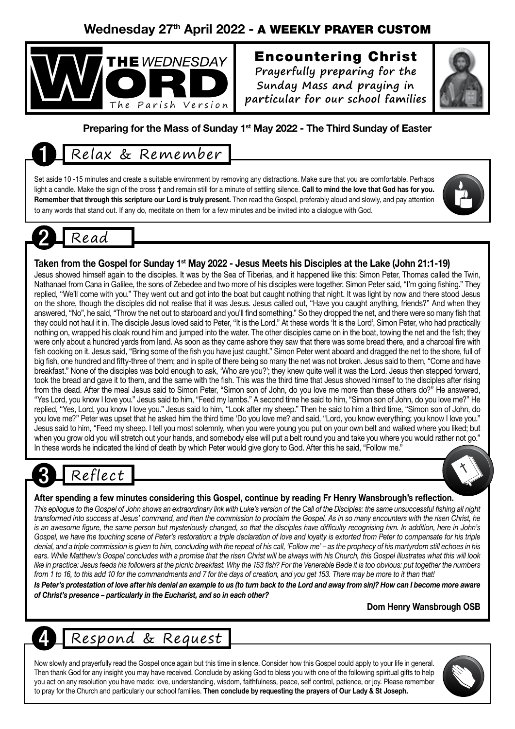## Wednesday 27th April 2022 - A WEEKLY PRAYER CUSTOM



## Encountering Christ

**Prayerfully preparing for the Sunday Mass and praying in particular for our school families**



#### Preparing for the Mass of Sunday 1<sup>st</sup> May 2022 - The Third Sunday of Easter

# 1 Relax & Remember

Set aside 10 -15 minutes and create a suitable environment by removing any distractions. Make sure that you are comfortable. Perhaps light a candle. Make the sign of the cross † and remain still for a minute of settling silence. Call to mind the love that God has for you. Remember that through this scripture our Lord is truly present. Then read the Gospel, preferably aloud and slowly, and pay attention to any words that stand out. If any do, meditate on them for a few minutes and be invited into a dialogue with God.



# Read

#### Taken from the Gospel for Sunday 1<sup>st</sup> May 2022 - Jesus Meets his Disciples at the Lake (John 21:1-19)

Jesus showed himself again to the disciples. It was by the Sea of Tiberias, and it happened like this: Simon Peter, Thomas called the Twin, Nathanael from Cana in Galilee, the sons of Zebedee and two more of his disciples were together. Simon Peter said, "I'm going fishing." They replied, "We'll come with you." They went out and got into the boat but caught nothing that night. It was light by now and there stood Jesus on the shore, though the disciples did not realise that it was Jesus. Jesus called out, "Have you caught anything, friends?" And when they answered, "No", he said, "Throw the net out to starboard and you'll find something." So they dropped the net, and there were so many fish that they could not haul it in. The disciple Jesus loved said to Peter, "It is the Lord." At these words 'It is the Lord', Simon Peter, who had practically nothing on, wrapped his cloak round him and jumped into the water. The other disciples came on in the boat, towing the net and the fish; they were only about a hundred yards from land. As soon as they came ashore they saw that there was some bread there, and a charcoal fire with fish cooking on it. Jesus said, "Bring some of the fish you have just caught." Simon Peter went aboard and dragged the net to the shore, full of big fish, one hundred and fifty-three of them; and in spite of there being so many the net was not broken. Jesus said to them, "Come and have breakfast." None of the disciples was bold enough to ask, 'Who are you?'; they knew quite well it was the Lord. Jesus then stepped forward, took the bread and gave it to them, and the same with the fish. This was the third time that Jesus showed himself to the disciples after rising from the dead. After the meal Jesus said to Simon Peter, "Simon son of John, do you love me more than these others do?" He answered, "Yes Lord, you know I love you." Jesus said to him, "Feed my lambs." A second time he said to him, "Simon son of John, do you love me?" He replied, "Yes, Lord, you know I love you." Jesus said to him, "Look after my sheep." Then he said to him a third time, "Simon son of John, do you love me?" Peter was upset that he asked him the third time 'Do you love me? and said, "Lord, you know everything; you know I love you." Jesus said to him, "Feed my sheep. I tell you most solemnly, when you were young you put on your own belt and walked where you liked; but when you grow old you will stretch out your hands, and somebody else will put a belt round you and take you where you would rather not go." In these words he indicated the kind of death by which Peter would give glory to God. After this he said, "Follow me."

# Reflect

#### After spending a few minutes considering this Gospel, continue by reading Fr Henry Wansbrough's reflection.

*This epilogue to the Gospel of John shows an extraordinary link with Luke's version of the Call of the Disciples: the same unsuccessful fishing all night transformed into success at Jesus' command, and then the commission to proclaim the Gospel. As in so many encounters with the risen Christ, he*  is an awesome figure, the same person but mysteriously changed, so that the disciples have difficulty recognising him. In addition, here in John's Gospel, we have the touching scene of Peter's restoration: a triple declaration of love and loyalty is extorted from Peter to compensate for his triple *denial, and a triple commission is given to him, concluding with the repeat of his call, 'Follow me' – as the prophecy of his martyrdom still echoes in his ears. While Matthew's Gospel concludes with a promise that the risen Christ will be always with his Church, this Gospel illustrates what this will look*  like in practice: Jesus feeds his followers at the picnic breakfast. Why the 153 fish? For the Venerable Bede it is too obvious: put together the numbers *from 1 to 16, to this add 10 for the commandments and 7 for the days of creation, and you get 153. There may be more to it than that!*

*Is Peter's protestation of love after his denial an example to us (to turn back to the Lord and away from sin)? How can I become more aware of Christ's presence – particularly in the Eucharist, and so in each other?*

Dom Henry Wansbrough OSB

# 4 Respond & Request

Now slowly and prayerfully read the Gospel once again but this time in silence. Consider how this Gospel could apply to your life in general. Then thank God for any insight you may have received. Conclude by asking God to bless you with one of the following spiritual gifts to help you act on any resolution you have made: love, understanding, wisdom, faithfulness, peace, self control, patience, or joy. Please remember to pray for the Church and particularly our school families. Then conclude by requesting the prayers of Our Lady & St Joseph.